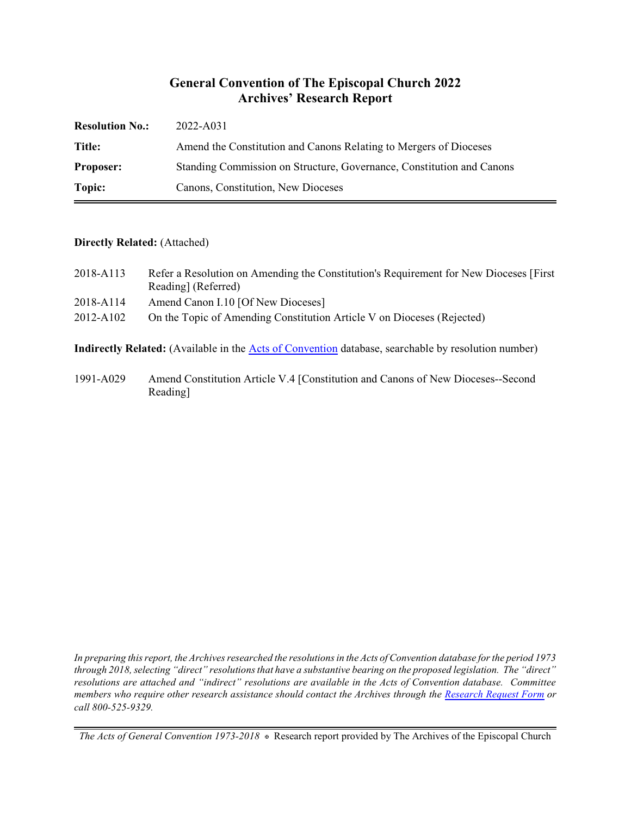## **General Convention of The Episcopal Church 2022 Archives' Research Report**

| <b>Resolution No.:</b> | 2022-A031                                                             |
|------------------------|-----------------------------------------------------------------------|
| Title:                 | Amend the Constitution and Canons Relating to Mergers of Dioceses     |
| <b>Proposer:</b>       | Standing Commission on Structure, Governance, Constitution and Canons |
| Topic:                 | Canons, Constitution, New Dioceses                                    |

#### **Directly Related:** (Attached)

| 2018-A113 | Refer a Resolution on Amending the Constitution's Requirement for New Dioceses [First] |
|-----------|----------------------------------------------------------------------------------------|
|           | Reading (Referred)                                                                     |
| 2018-A114 | Amend Canon I.10 [Of New Dioceses]                                                     |
| 2012-A102 | On the Topic of Amending Constitution Article V on Dioceses (Rejected)                 |
|           |                                                                                        |

**Indirectly Related:** (Available in the [Acts of Convention](https://www.episcopalarchives.org/e-archives/acts/) database, searchable by resolution number)

1991-A029 Amend Constitution Article V.4 [Constitution and Canons of New Dioceses--Second Reading]

*In preparing this report, the Archives researched the resolutions in the Acts of Convention database for the period 1973 through 2018, selecting "direct" resolutions that have a substantive bearing on the proposed legislation. The "direct" resolutions are attached and "indirect" resolutions are available in the Acts of Convention database. Committee members who require other research assistance should contact the Archives through the Research [Request Form](https://www.episcopalarchives.org/contact/research-request-form) or call 800-525-9329.*

*The Acts of General Convention 1973-2018*  $*$  Research report provided by The Archives of the Episcopal Church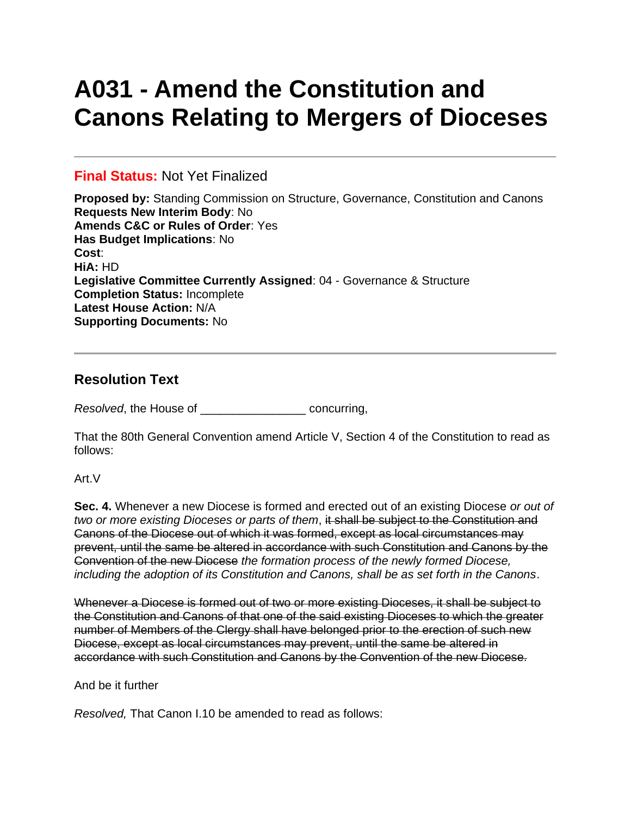# **A031 - Amend the Constitution and Canons Relating to Mergers of Dioceses**

## **Final Status:** Not Yet Finalized

**Proposed by:** Standing Commission on Structure, Governance, Constitution and Canons **Requests New Interim Body**: No **Amends C&C or Rules of Order**: Yes **Has Budget Implications**: No **Cost**: **HiA:** HD **Legislative Committee Currently Assigned**: 04 - Governance & Structure **Completion Status:** Incomplete **Latest House Action:** N/A **Supporting Documents:** No

# **Resolution Text**

*Resolved*, the House of \_\_\_\_\_\_\_\_\_\_\_\_\_\_\_\_ concurring,

That the 80th General Convention amend Article V, Section 4 of the Constitution to read as follows:

#### Art.V

**Sec. 4.** Whenever a new Diocese is formed and erected out of an existing Diocese *or out of two or more existing Dioceses or parts of them*, it shall be subject to the Constitution and Canons of the Diocese out of which it was formed, except as local circumstances may prevent, until the same be altered in accordance with such Constitution and Canons by the Convention of the new Diocese *the formation process of the newly formed Diocese, including the adoption of its Constitution and Canons, shall be as set forth in the Canons*.

Whenever a Diocese is formed out of two or more existing Dioceses, it shall be subject to the Constitution and Canons of that one of the said existing Dioceses to which the greater number of Members of the Clergy shall have belonged prior to the erection of such new Diocese, except as local circumstances may prevent, until the same be altered in accordance with such Constitution and Canons by the Convention of the new Diocese.

#### And be it further

*Resolved,* That Canon I.10 be amended to read as follows: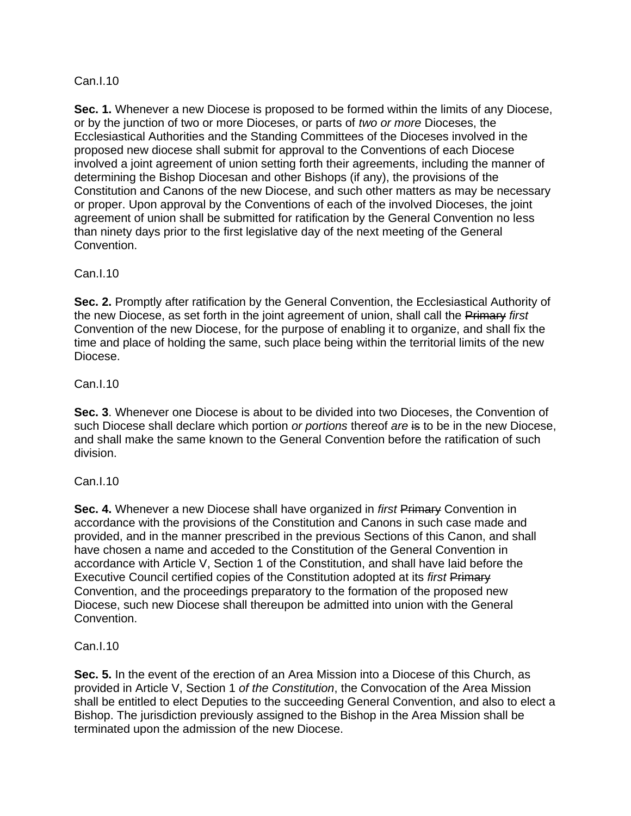## Can.I.10

**Sec. 1.** Whenever a new Diocese is proposed to be formed within the limits of any Diocese, or by the junction of two or more Dioceses, or parts of *two or more* Dioceses, the Ecclesiastical Authorities and the Standing Committees of the Dioceses involved in the proposed new diocese shall submit for approval to the Conventions of each Diocese involved a joint agreement of union setting forth their agreements, including the manner of determining the Bishop Diocesan and other Bishops (if any), the provisions of the Constitution and Canons of the new Diocese, and such other matters as may be necessary or proper. Upon approval by the Conventions of each of the involved Dioceses, the joint agreement of union shall be submitted for ratification by the General Convention no less than ninety days prior to the first legislative day of the next meeting of the General Convention.

## Can.I.10

**Sec. 2.** Promptly after ratification by the General Convention, the Ecclesiastical Authority of the new Diocese, as set forth in the joint agreement of union, shall call the Primary *first* Convention of the new Diocese, for the purpose of enabling it to organize, and shall fix the time and place of holding the same, such place being within the territorial limits of the new Diocese.

## Can.I.10

**Sec. 3**. Whenever one Diocese is about to be divided into two Dioceses, the Convention of such Diocese shall declare which portion *or portions* thereof *are* is to be in the new Diocese, and shall make the same known to the General Convention before the ratification of such division.

## Can.I.10

**Sec. 4.** Whenever a new Diocese shall have organized in *first* Primary Convention in accordance with the provisions of the Constitution and Canons in such case made and provided, and in the manner prescribed in the previous Sections of this Canon, and shall have chosen a name and acceded to the Constitution of the General Convention in accordance with Article V, Section 1 of the Constitution, and shall have laid before the Executive Council certified copies of the Constitution adopted at its *first* Primary Convention, and the proceedings preparatory to the formation of the proposed new Diocese, such new Diocese shall thereupon be admitted into union with the General Convention.

#### Can.I.10

**Sec. 5.** In the event of the erection of an Area Mission into a Diocese of this Church, as provided in Article V, Section 1 *of the Constitution*, the Convocation of the Area Mission shall be entitled to elect Deputies to the succeeding General Convention, and also to elect a Bishop. The jurisdiction previously assigned to the Bishop in the Area Mission shall be terminated upon the admission of the new Diocese.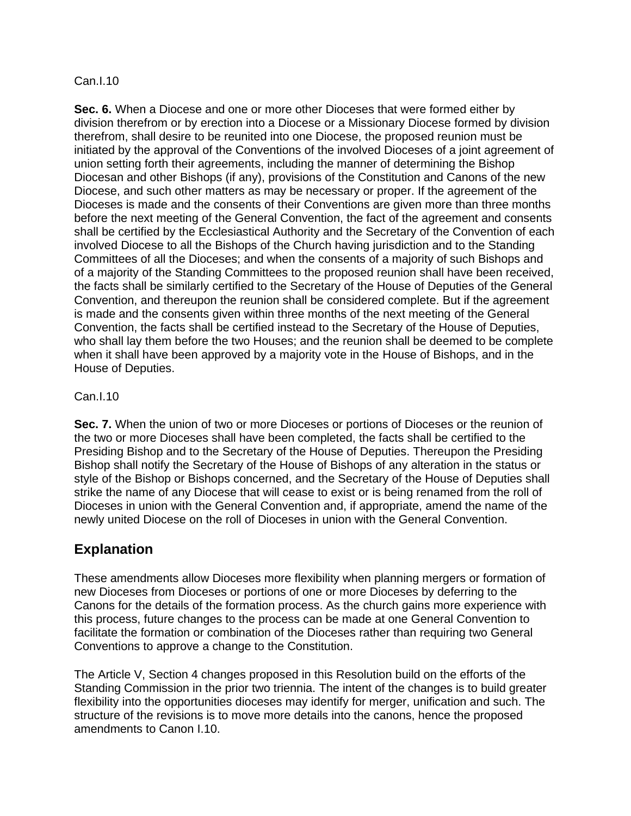#### Can.I.10

**Sec. 6.** When a Diocese and one or more other Dioceses that were formed either by division therefrom or by erection into a Diocese or a Missionary Diocese formed by division therefrom, shall desire to be reunited into one Diocese, the proposed reunion must be initiated by the approval of the Conventions of the involved Dioceses of a joint agreement of union setting forth their agreements, including the manner of determining the Bishop Diocesan and other Bishops (if any), provisions of the Constitution and Canons of the new Diocese, and such other matters as may be necessary or proper. If the agreement of the Dioceses is made and the consents of their Conventions are given more than three months before the next meeting of the General Convention, the fact of the agreement and consents shall be certified by the Ecclesiastical Authority and the Secretary of the Convention of each involved Diocese to all the Bishops of the Church having jurisdiction and to the Standing Committees of all the Dioceses; and when the consents of a majority of such Bishops and of a majority of the Standing Committees to the proposed reunion shall have been received, the facts shall be similarly certified to the Secretary of the House of Deputies of the General Convention, and thereupon the reunion shall be considered complete. But if the agreement is made and the consents given within three months of the next meeting of the General Convention, the facts shall be certified instead to the Secretary of the House of Deputies, who shall lay them before the two Houses; and the reunion shall be deemed to be complete when it shall have been approved by a majority vote in the House of Bishops, and in the House of Deputies.

## Can.I.10

**Sec. 7.** When the union of two or more Dioceses or portions of Dioceses or the reunion of the two or more Dioceses shall have been completed, the facts shall be certified to the Presiding Bishop and to the Secretary of the House of Deputies. Thereupon the Presiding Bishop shall notify the Secretary of the House of Bishops of any alteration in the status or style of the Bishop or Bishops concerned, and the Secretary of the House of Deputies shall strike the name of any Diocese that will cease to exist or is being renamed from the roll of Dioceses in union with the General Convention and, if appropriate, amend the name of the newly united Diocese on the roll of Dioceses in union with the General Convention.

# **Explanation**

These amendments allow Dioceses more flexibility when planning mergers or formation of new Dioceses from Dioceses or portions of one or more Dioceses by deferring to the Canons for the details of the formation process. As the church gains more experience with this process, future changes to the process can be made at one General Convention to facilitate the formation or combination of the Dioceses rather than requiring two General Conventions to approve a change to the Constitution.

The Article V, Section 4 changes proposed in this Resolution build on the efforts of the Standing Commission in the prior two triennia. The intent of the changes is to build greater flexibility into the opportunities dioceses may identify for merger, unification and such. The structure of the revisions is to move more details into the canons, hence the proposed amendments to Canon I.10.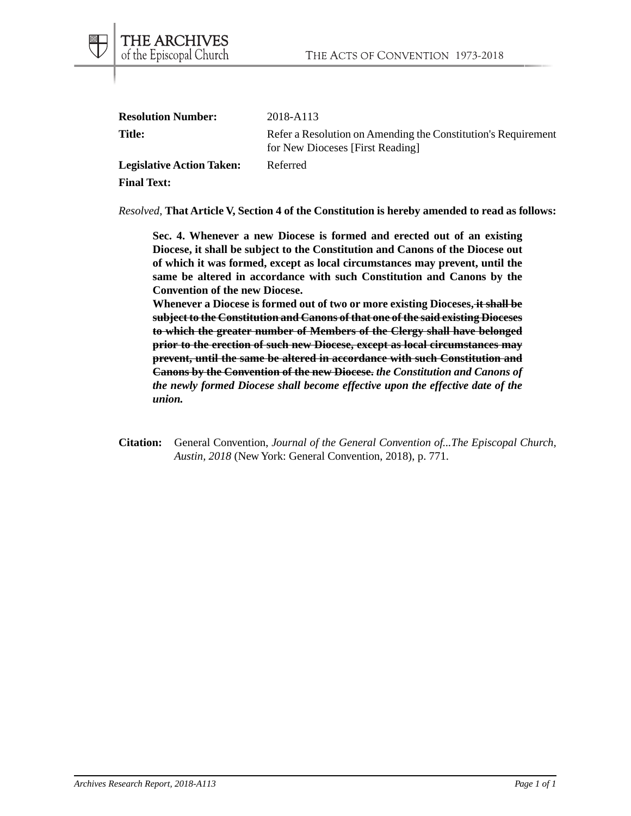| <b>Resolution Number:</b>        | 2018-A113                                                                                         |
|----------------------------------|---------------------------------------------------------------------------------------------------|
| <b>Title:</b>                    | Refer a Resolution on Amending the Constitution's Requirement<br>for New Dioceses [First Reading] |
| <b>Legislative Action Taken:</b> | Referred                                                                                          |

*Resolved*, **That Article V, Section 4 of the Constitution is hereby amended to read as follows:**

**Sec. 4. Whenever a new Diocese is formed and erected out of an existing Diocese, it shall be subject to the Constitution and Canons of the Diocese out of which it was formed, except as local circumstances may prevent, until the same be altered in accordance with such Constitution and Canons by the Convention of the new Diocese.**

**Whenever a Diocese is formed out of two or more existing Dioceses, it shall be subject to the Constitution and Canons of that one of the said existing Dioceses to which the greater number of Members of the Clergy shall have belonged prior to the erection of such new Diocese, except as local circumstances may prevent, until the same be altered in accordance with such Constitution and Canons by the Convention of the new Diocese.** *the Constitution and Canons of the newly formed Diocese shall become effective upon the effective date of the union.*

**Citation:** General Convention, *Journal of the General Convention of...The Episcopal Church, Austin, 2018* (New York: General Convention, 2018), p. 771.

**Final Text:**

THE ARCHIVES<br>of the Episcopal Church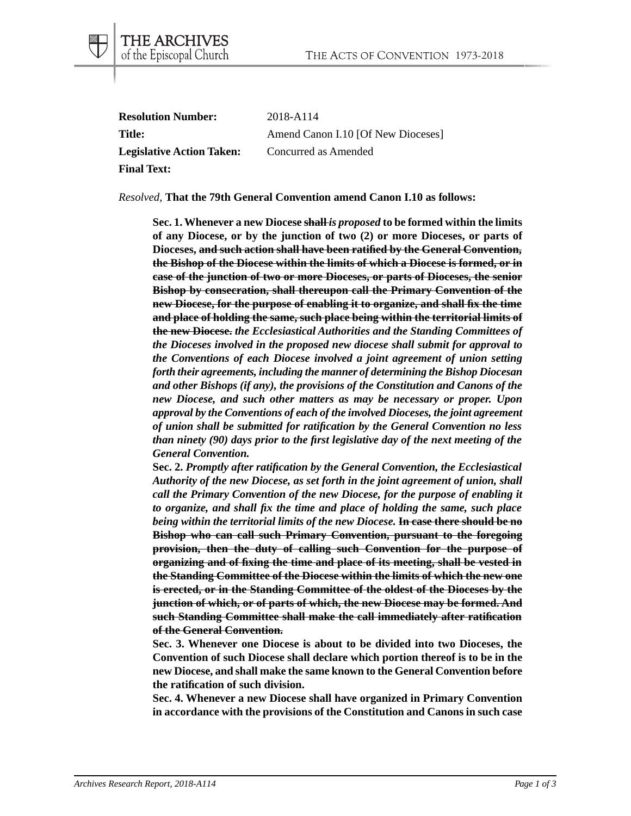| <b>Resolution Number:</b>        | 2018-A114                          |
|----------------------------------|------------------------------------|
| Title:                           | Amend Canon I.10 [Of New Dioceses] |
| <b>Legislative Action Taken:</b> | Concurred as Amended               |
| <b>Final Text:</b>               |                                    |

THE ARCHIVES<br>of the Episcopal Church

#### *Resolved*, **That the 79th General Convention amend Canon I.10 as follows:**

**Sec. 1. Whenever a new Diocese shall** *is proposed* **to be formed within the limits of any Diocese, or by the junction of two (2) or more Dioceses, or parts of Dioceses, and such action shall have been ratified by the General Convention, the Bishop of the Diocese within the limits of which a Diocese is formed, or in case of the junction of two or more Dioceses, or parts of Dioceses, the senior Bishop by consecration, shall thereupon call the Primary Convention of the new Diocese, for the purpose of enabling it to organize, and shall fix the time and place of holding the same, such place being within the territorial limits of the new Diocese.** *the Ecclesiastical Authorities and the Standing Committees of the Dioceses involved in the proposed new diocese shall submit for approval to the Conventions of each Diocese involved a joint agreement of union setting forth their agreements, including the manner of determining the Bishop Diocesan and other Bishops (if any), the provisions of the Constitution and Canons of the new Diocese, and such other matters as may be necessary or proper. Upon approval by the Conventions of each of the involved Dioceses, the joint agreement of union shall be submitted for ratification by the General Convention no less than ninety (90) days prior to the first legislative day of the next meeting of the General Convention.*

**Sec. 2.** *Promptly after ratification by the General Convention, the Ecclesiastical Authority of the new Diocese, as set forth in the joint agreement of union, shall call the Primary Convention of the new Diocese, for the purpose of enabling it to organize, and shall fix the time and place of holding the same, such place being within the territorial limits of the new Diocese.* **In case there should be no Bishop who can call such Primary Convention, pursuant to the foregoing provision, then the duty of calling such Convention for the purpose of organizing and of fixing the time and place of its meeting, shall be vested in the Standing Committee of the Diocese within the limits of which the new one is erected, or in the Standing Committee of the oldest of the Dioceses by the junction of which, or of parts of which, the new Diocese may be formed. And such Standing Committee shall make the call immediately after ratification of the General Convention.**

**Sec. 3. Whenever one Diocese is about to be divided into two Dioceses, the Convention of such Diocese shall declare which portion thereof is to be in the new Diocese, and shall make the same known to the General Convention before the ratification of such division.**

**Sec. 4. Whenever a new Diocese shall have organized in Primary Convention in accordance with the provisions of the Constitution and Canons in such case**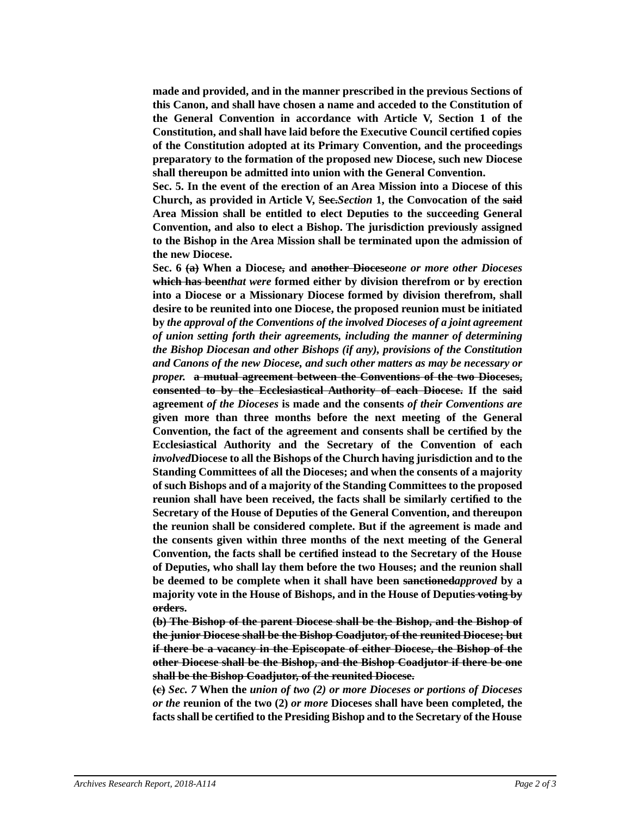**made and provided, and in the manner prescribed in the previous Sections of this Canon, and shall have chosen a name and acceded to the Constitution of the General Convention in accordance with Article V, Section 1 of the Constitution, and shall have laid before the Executive Council certified copies of the Constitution adopted at its Primary Convention, and the proceedings preparatory to the formation of the proposed new Diocese, such new Diocese shall thereupon be admitted into union with the General Convention.**

**Sec. 5. In the event of the erection of an Area Mission into a Diocese of this Church, as provided in Article V, Sec.***Section* **1, the Convocation of the said Area Mission shall be entitled to elect Deputies to the succeeding General Convention, and also to elect a Bishop. The jurisdiction previously assigned to the Bishop in the Area Mission shall be terminated upon the admission of the new Diocese.**

**Sec. 6 (a) When a Diocese, and another Diocese***one or more other Dioceses* **which has been***that were* **formed either by division therefrom or by erection into a Diocese or a Missionary Diocese formed by division therefrom, shall desire to be reunited into one Diocese, the proposed reunion must be initiated by** *the approval of the Conventions of the involved Dioceses of a joint agreement of union setting forth their agreements, including the manner of determining the Bishop Diocesan and other Bishops (if any), provisions of the Constitution and Canons of the new Diocese, and such other matters as may be necessary or proper.* **a mutual agreement between the Conventions of the two Dioceses, consented to by the Ecclesiastical Authority of each Diocese. If the said agreement** *of the Dioceses* **is made and the consents** *of their Conventions are* **given more than three months before the next meeting of the General Convention, the fact of the agreement and consents shall be certified by the Ecclesiastical Authority and the Secretary of the Convention of each** *involved***Diocese to all the Bishops of the Church having jurisdiction and to the Standing Committees of all the Dioceses; and when the consents of a majority of such Bishops and of a majority of the Standing Committees to the proposed reunion shall have been received, the facts shall be similarly certified to the Secretary of the House of Deputies of the General Convention, and thereupon the reunion shall be considered complete. But if the agreement is made and the consents given within three months of the next meeting of the General Convention, the facts shall be certified instead to the Secretary of the House of Deputies, who shall lay them before the two Houses; and the reunion shall be deemed to be complete when it shall have been sanctioned***approved* **by a majority vote in the House of Bishops, and in the House of Deputies voting by orders.**

**(b) The Bishop of the parent Diocese shall be the Bishop, and the Bishop of the junior Diocese shall be the Bishop Coadjutor, of the reunited Diocese; but if there be a vacancy in the Episcopate of either Diocese, the Bishop of the other Diocese shall be the Bishop, and the Bishop Coadjutor if there be one shall be the Bishop Coadjutor, of the reunited Diocese.**

**(c)** *Sec. 7* **When the** *union of two (2) or more Dioceses or portions of Dioceses or the* **reunion of the two (2)** *or more* **Dioceses shall have been completed, the facts shall be certified to the Presiding Bishop and to the Secretary of the House**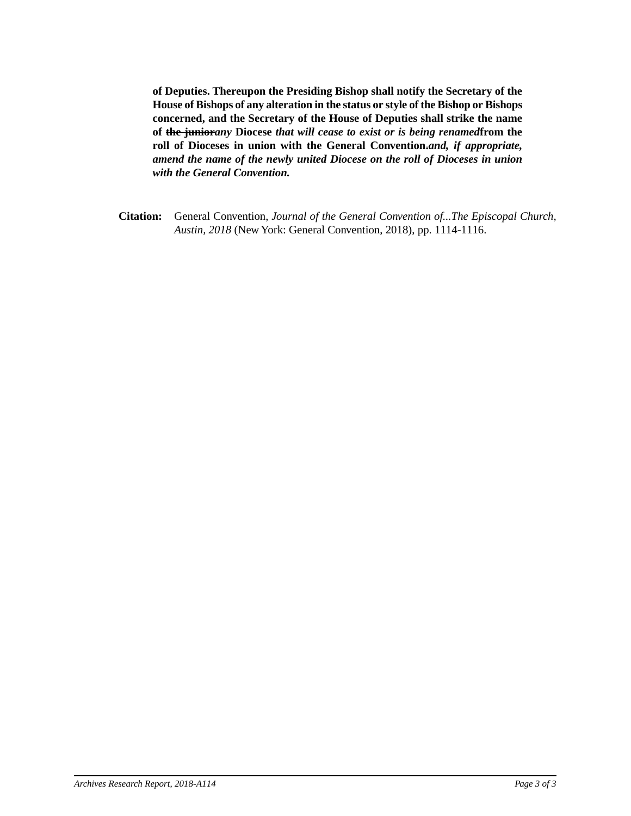**of Deputies. Thereupon the Presiding Bishop shall notify the Secretary of the House of Bishops of any alteration in the status or style of the Bishop or Bishops concerned, and the Secretary of the House of Deputies shall strike the name of the junior***any* **Diocese** *that will cease to exist or is being renamed***from the roll of Dioceses in union with the General Convention.***and, if appropriate, amend the name of the newly united Diocese on the roll of Dioceses in union with the General Convention.*

**Citation:** General Convention, *Journal of the General Convention of...The Episcopal Church, Austin, 2018* (New York: General Convention, 2018), pp. 1114-1116.